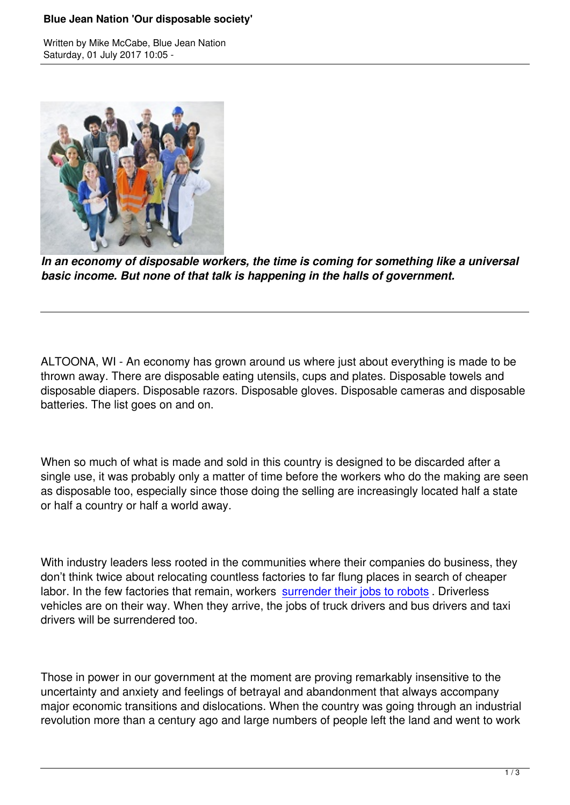Written by Mike McCabe, Blue Jean National According to Mike McCabe, Blue Jean National According to Mike McCa



*In an economy of disposable workers, the time is coming for something like a universal basic income. But none of that talk is happening in the halls of government.*

ALTOONA, WI - An economy has grown around us where just about everything is made to be thrown away. There are disposable eating utensils, cups and plates. Disposable towels and disposable diapers. Disposable razors. Disposable gloves. Disposable cameras and disposable batteries. The list goes on and on.

When so much of what is made and sold in this country is designed to be discarded after a single use, it was probably only a matter of time before the workers who do the making are seen as disposable too, especially since those doing the selling are increasingly located half a state or half a country or half a world away.

With industry leaders less rooted in the communities where their companies do business, they don't think twice about relocating countless factories to far flung places in search of cheaper labor. In the few factories that remain, workers surrender their jobs to robots. Driverless vehicles are on their way. When they arrive, the jobs of truck drivers and bus drivers and taxi drivers will be surrendered too.

Those in power in our government at the moment are proving remarkably insensitive to the uncertainty and anxiety and feelings of betrayal and abandonment that always accompany major economic transitions and dislocations. When the country was going through an industrial revolution more than a century ago and large numbers of people left the land and went to work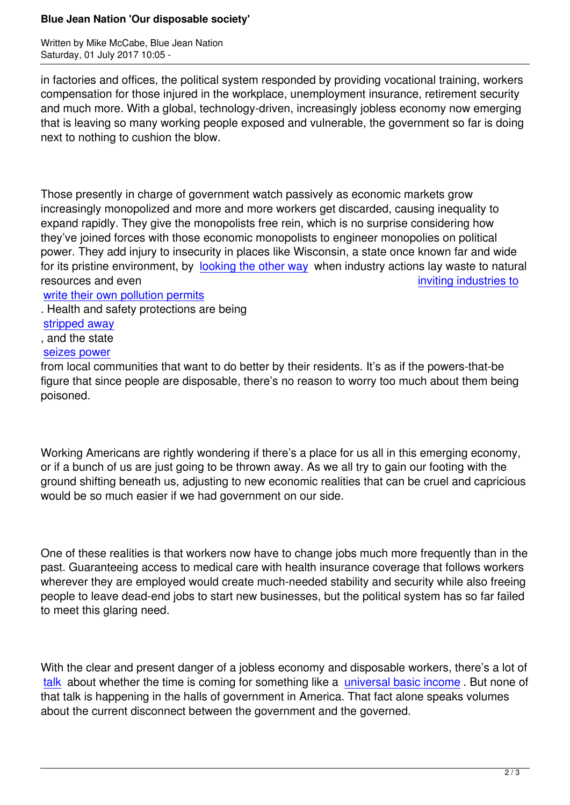in factories and offices, the political system responded by providing vocational training, workers compensation for those injured in the workplace, unemployment insurance, retirement security and much more. With a global, technology-driven, increasingly jobless economy now emerging that is leaving so many working people exposed and vulnerable, the government so far is doing next to nothing to cushion the blow.

Those presently in charge of government watch passively as economic markets grow increasingly monopolized and more and more workers get discarded, causing inequality to expand rapidly. They give the monopolists free rein, which is no surprise considering how they've joined forces with those economic monopolists to engineer monopolies on political power. They add injury to insecurity in places like Wisconsin, a state once known far and wide for its pristine environment, by looking the other way when industry actions lay waste to natural resources and even **inviting industries** to

write their own pollution permits

. Health and safety protections [are being](http://host.madison.com/wsj/news/local/govt-and-politics/state-audit-finds-dnr-ignoring-own-rules-on-water-pollution/article_b4471e0f-538d-5a4e-938e-2972a65d071f.html) 

stripped away

[, and the state](http://dailyreporter.com/2016/11/30/dnr-large-farms-will-write-own-permits/) 

## seizes power

[from local com](http://host.madison.com/wsj/news/local/environment/after-scott-walker-s-office-alerts-farm-lobby-clean-water/article_2215adcc-238e-5f45-ab82-2b9a093e560a.html)munities that want to do better by their residents. It's as if the powers-that-be figure that since people are disposable, there's no reason to worry too much about them being [poisoned.](http://www.slate.com/articles/business/metropolis/2016/09/how_alec_acce_and_pre_emptions_laws_are_gutting_the_powers_of_american_cities.html)

Working Americans are rightly wondering if there's a place for us all in this emerging economy, or if a bunch of us are just going to be thrown away. As we all try to gain our footing with the ground shifting beneath us, adjusting to new economic realities that can be cruel and capricious would be so much easier if we had government on our side.

One of these realities is that workers now have to change jobs much more frequently than in the past. Guaranteeing access to medical care with health insurance coverage that follows workers wherever they are employed would create much-needed stability and security while also freeing people to leave dead-end jobs to start new businesses, but the political system has so far failed to meet this glaring need.

With the clear and present danger of a jobless economy and disposable workers, there's a lot of talk about whether the time is coming for something like a universal basic income. But none of that talk is happening in the halls of government in America. That fact alone speaks volumes about the current disconnect between the government and the governed.